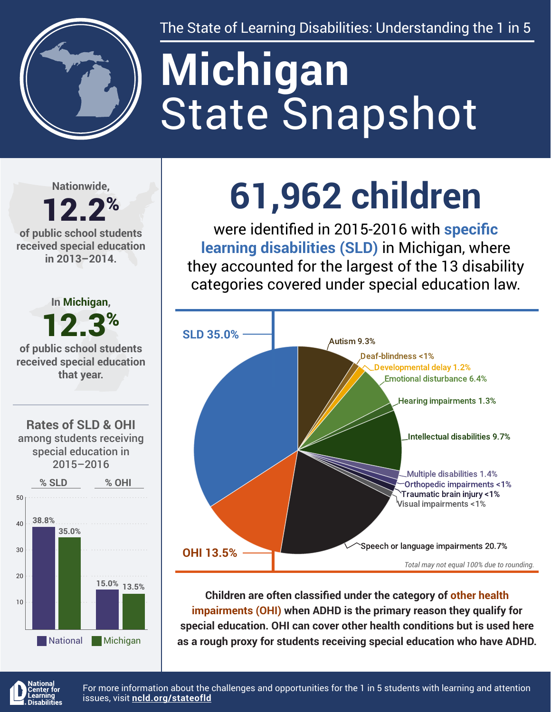

The State of Learning Disabilities: Understanding the 1 in 5

# State Snapshot **Michigan**

**Nationwide,**

### 12.2% **of public school students**

**received special education in 2013–2014.**



National Michigan

## **61,962 children**

were identified in 2015-2016 with **specific learning disabilities (SLD)** in Michigan, where they accounted for the largest of the 13 disability categories covered under special education law.



**Children are often classified under the category of other health impairments (OHI) when ADHD is the primary reason they qualify for special education. OHI can cover other health conditions but is used here as a rough proxy for students receiving special education who have ADHD.**



For more information about the challenges and opportunities for the 1 in 5 students with learning and attention issues, visit **[ncld.org/stateofld](http://ncld.org/stateofld)**